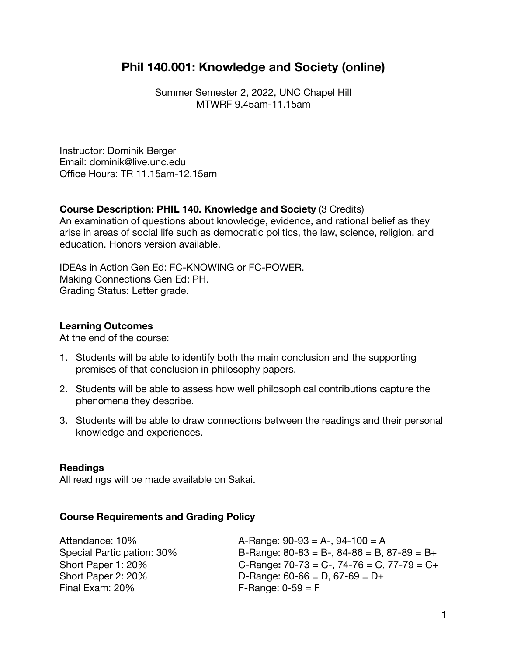# **Phil 140.001: Knowledge and Society (online)**

Summer Semester 2, 2022, UNC Chapel Hill MTWRF 9.45am-11.15am

Instructor: Dominik Berger Email: dominik@live.unc.edu Office Hours: TR 11.15am-12.15am

# **Course Description: PHIL 140. Knowledge and Society** (3 Credits)

An examination of questions about knowledge, evidence, and rational belief as they arise in areas of social life such as democratic politics, the law, science, religion, and education. Honors version available.

IDEAs in Action Gen Ed: FC-KNOWING or FC-POWER. Making Connections Gen Ed: PH. Grading Status: Letter grade.

## **Learning Outcomes**

At the end of the course:

- 1. Students will be able to identify both the main conclusion and the supporting premises of that conclusion in philosophy papers.
- 2. Students will be able to assess how well philosophical contributions capture the phenomena they describe.
- 3. Students will be able to draw connections between the readings and their personal knowledge and experiences.

## **Readings**

All readings will be made available on Sakai.

## **Course Requirements and Grading Policy**

Final Exam:  $20\%$  F-Range:  $0-59 = F$ 

Attendance:  $10\%$  A-Range:  $90-93 = A-$ ,  $94-100 = A$ Special Participation:  $30\%$  B-Range:  $80-83 = B-$ ,  $84-86 = B$ ,  $87-89 = B+$ Short Paper 1: 20% **C-Range:** 70-73 = C-, 74-76 = C, 77-79 = C+ Short Paper 2:  $20\%$  D-Range:  $60-66 = D$ ,  $67-69 = D+$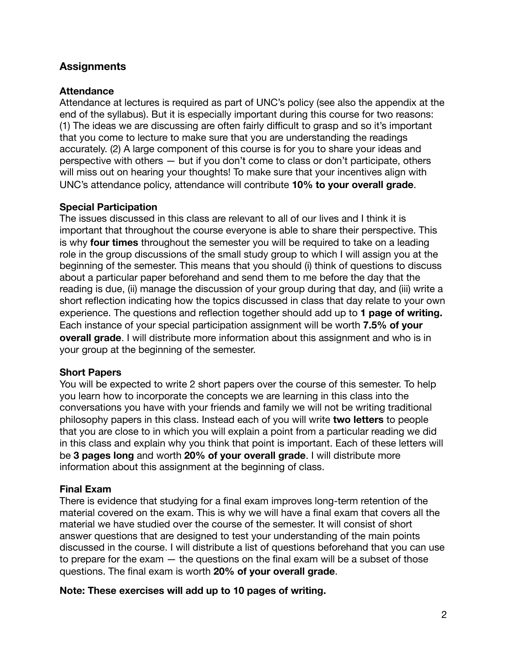# **Assignments**

## **Attendance**

Attendance at lectures is required as part of UNC's policy (see also the appendix at the end of the syllabus). But it is especially important during this course for two reasons: (1) The ideas we are discussing are often fairly difficult to grasp and so it's important that you come to lecture to make sure that you are understanding the readings accurately. (2) A large component of this course is for you to share your ideas and perspective with others — but if you don't come to class or don't participate, others will miss out on hearing your thoughts! To make sure that your incentives align with UNC's attendance policy, attendance will contribute **10% to your overall grade**.

## **Special Participation**

The issues discussed in this class are relevant to all of our lives and I think it is important that throughout the course everyone is able to share their perspective. This is why **four times** throughout the semester you will be required to take on a leading role in the group discussions of the small study group to which I will assign you at the beginning of the semester. This means that you should (i) think of questions to discuss about a particular paper beforehand and send them to me before the day that the reading is due, (ii) manage the discussion of your group during that day, and (iii) write a short reflection indicating how the topics discussed in class that day relate to your own experience. The questions and reflection together should add up to **1 page of writing.** Each instance of your special participation assignment will be worth **7.5% of your overall grade**. I will distribute more information about this assignment and who is in your group at the beginning of the semester.

## **Short Papers**

You will be expected to write 2 short papers over the course of this semester. To help you learn how to incorporate the concepts we are learning in this class into the conversations you have with your friends and family we will not be writing traditional philosophy papers in this class. Instead each of you will write **two letters** to people that you are close to in which you will explain a point from a particular reading we did in this class and explain why you think that point is important. Each of these letters will be **3 pages long** and worth **20% of your overall grade**. I will distribute more information about this assignment at the beginning of class.

## **Final Exam**

There is evidence that studying for a final exam improves long-term retention of the material covered on the exam. This is why we will have a final exam that covers all the material we have studied over the course of the semester. It will consist of short answer questions that are designed to test your understanding of the main points discussed in the course. I will distribute a list of questions beforehand that you can use to prepare for the exam  $-$  the questions on the final exam will be a subset of those questions. The final exam is worth **20% of your overall grade**.

## **Note: These exercises will add up to 10 pages of writing.**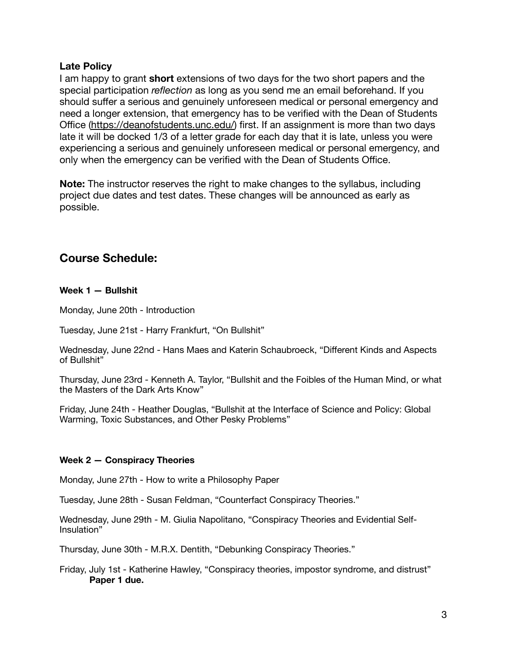## **Late Policy**

I am happy to grant **short** extensions of two days for the two short papers and the special participation *reflection* as long as you send me an email beforehand. If you should suffer a serious and genuinely unforeseen medical or personal emergency and need a longer extension, that emergency has to be verified with the Dean of Students Office [\(https://deanofstudents.unc.edu/\)](https://deanofstudents.unc.edu/) first. If an assignment is more than two days late it will be docked 1/3 of a letter grade for each day that it is late, unless you were experiencing a serious and genuinely unforeseen medical or personal emergency, and only when the emergency can be verified with the Dean of Students Office.

**Note:** The instructor reserves the right to make changes to the syllabus, including project due dates and test dates. These changes will be announced as early as possible.

# **Course Schedule:**

### **Week 1 — Bullshit**

Monday, June 20th - Introduction

Tuesday, June 21st - Harry Frankfurt, "On Bullshit"

Wednesday, June 22nd - Hans Maes and Katerin Schaubroeck, "Different Kinds and Aspects of Bullshit"

Thursday, June 23rd - Kenneth A. Taylor, "Bullshit and the Foibles of the Human Mind, or what the Masters of the Dark Arts Know"

Friday, June 24th - Heather Douglas, "Bullshit at the Interface of Science and Policy: Global Warming, Toxic Substances, and Other Pesky Problems"

### **Week 2 — Conspiracy Theories**

Monday, June 27th - How to write a Philosophy Paper

Tuesday, June 28th - Susan Feldman, "Counterfact Conspiracy Theories."

Wednesday, June 29th - M. Giulia Napolitano, "Conspiracy Theories and Evidential Self-Insulation"

Thursday, June 30th - M.R.X. Dentith, "Debunking Conspiracy Theories."

Friday, July 1st - Katherine Hawley, "Conspiracy theories, impostor syndrome, and distrust" **Paper 1 due.**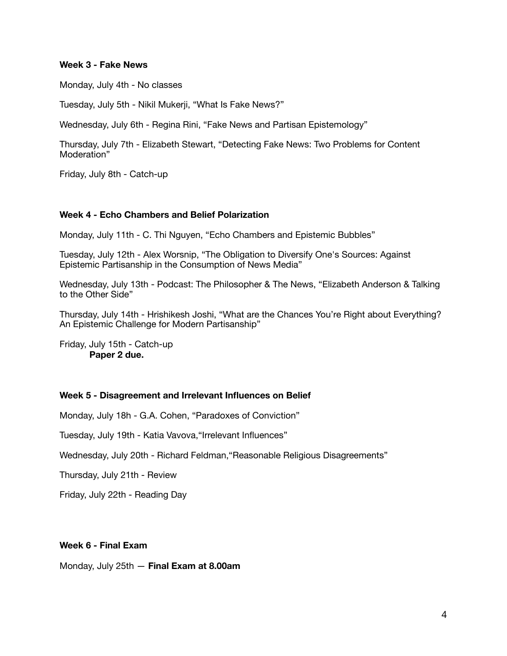#### **Week 3 - Fake News**

Monday, July 4th - No classes

Tuesday, July 5th - Nikil Mukerji, "What Is Fake News?"

Wednesday, July 6th - Regina Rini, "Fake News and Partisan Epistemology"

Thursday, July 7th - Elizabeth Stewart, "Detecting Fake News: Two Problems for Content Moderation"

Friday, July 8th - Catch-up

#### **Week 4 - Echo Chambers and Belief Polarization**

Monday, July 11th - C. Thi Nguyen, "Echo Chambers and Epistemic Bubbles"

Tuesday, July 12th - Alex Worsnip, "The Obligation to Diversify One's Sources: Against Epistemic Partisanship in the Consumption of News Media"

Wednesday, July 13th - Podcast: The Philosopher & The News, "Elizabeth Anderson & Talking to the Other Side"

Thursday, July 14th - Hrishikesh Joshi, "What are the Chances You're Right about Everything? An Epistemic Challenge for Modern Partisanship"

Friday, July 15th - Catch-up **Paper 2 due.**

#### **Week 5 - Disagreement and Irrelevant Influences on Belief**

Monday, July 18h - G.A. Cohen, "Paradoxes of Conviction"

Tuesday, July 19th - Katia Vavova,"Irrelevant Influences"

Wednesday, July 20th - Richard Feldman,"Reasonable Religious Disagreements"

Thursday, July 21th - Review

Friday, July 22th - Reading Day

#### **Week 6 - Final Exam**

Monday, July 25th — **Final Exam at 8.00am**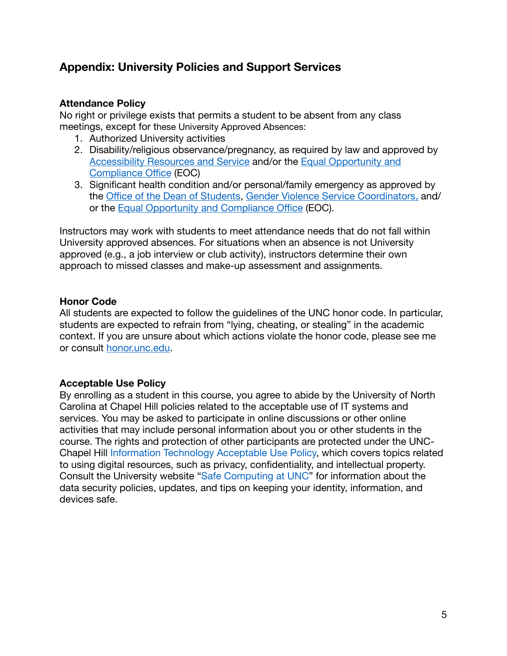# **Appendix: University Policies and Support Services**

## **Attendance Policy**

No right or privilege exists that permits a student to be absent from any class meetings, except for these University Approved Absences:

- 1. Authorized University activities
- 2. Disability/religious observance/pregnancy, as required by law and approved by [Accessibility Resources and Service](https://ars.unc.edu/) and/or the [Equal Opportunity and](https://eoc.unc.edu/what-we-do/accommodations/)  [Compliance O](https://eoc.unc.edu/what-we-do/accommodations/)ffice (EOC)
- 3. Significant health condition and/or personal/family emergency as approved by the Offi[ce of the Dean of Students,](https://odos.unc.edu/) [Gender Violence Service Coordinators,](https://womenscenter.unc.edu/resources/gender-violence-services/) and/ or the [Equal Opportunity and Compliance O](https://eoc.unc.edu/what-we-do/accommodations/)ffice (EOC).

Instructors may work with students to meet attendance needs that do not fall within University approved absences. For situations when an absence is not University approved (e.g., a job interview or club activity), instructors determine their own approach to missed classes and make-up assessment and assignments.

# **Honor Code**

All students are expected to follow the guidelines of the UNC honor code. In particular, students are expected to refrain from "lying, cheating, or stealing" in the academic context. If you are unsure about which actions violate the honor code, please see me or consult [honor.unc.edu](https://studentconduct.unc.edu/).

# **Acceptable Use Policy**

By enrolling as a student in this course, you agree to abide by the University of North Carolina at Chapel Hill policies related to the acceptable use of IT systems and services. You may be asked to participate in online discussions or other online activities that may include personal information about you or other students in the course. The rights and protection of other participants are protected under the UNC-Chapel Hill [Information Technology Acceptable Use Policy](https://unc.policystat.com/policy/6875241/latest/), which covers topics related to using digital resources, such as privacy, confidentiality, and intellectual property. Consult the University website ["Safe Computing at UNC](https://safecomputing.unc.edu/)" for information about the data security policies, updates, and tips on keeping your identity, information, and devices safe.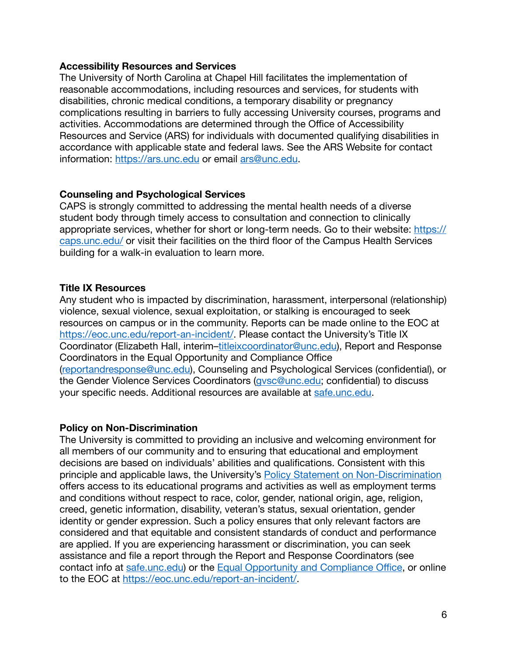## **Accessibility Resources and Services**

The University of North Carolina at Chapel Hill facilitates the implementation of reasonable accommodations, including resources and services, for students with disabilities, chronic medical conditions, a temporary disability or pregnancy complications resulting in barriers to fully accessing University courses, programs and activities. Accommodations are determined through the Office of Accessibility Resources and Service (ARS) for individuals with documented qualifying disabilities in accordance with applicable state and federal laws. See the ARS Website for contact information:<https://ars.unc.edu>or email [ars@unc.edu.](mailto:ars@unc.edu)

## **Counseling and Psychological Services**

CAPS is strongly committed to addressing the mental health needs of a diverse student body through timely access to consultation and connection to clinically appropriate services, whether for short or long-term needs. Go to their website: [https://](https://caps.unc.edu/) [caps.unc.edu/](https://caps.unc.edu/) or visit their facilities on the third floor of the Campus Health Services building for a walk-in evaluation to learn more.

## **Title IX Resources**

Any student who is impacted by discrimination, harassment, interpersonal (relationship) violence, sexual violence, sexual exploitation, or stalking is encouraged to seek resources on campus or in the community. Reports can be made online to the EOC at <https://eoc.unc.edu/report-an-incident/>. Please contact the University's Title IX Coordinator (Elizabeth Hall, interim–[titleixcoordinator@unc.edu\)](mailto:titleixcoordinator@unc.edu), Report and Response Coordinators in the Equal Opportunity and Compliance Office [\(reportandresponse@unc.edu\)](mailto:reportandresponse@unc.edu), Counseling and Psychological Services (confidential), or the Gender Violence Services Coordinators [\(gvsc@unc.edu;](mailto:gvsc@unc.edu) confidential) to discuss your specific needs. Additional resources are available at [safe.unc.edu.](https://safe.unc.edu/)

### **Policy on Non-Discrimination**

The University is committed to providing an inclusive and welcoming environment for all members of our community and to ensuring that educational and employment decisions are based on individuals' abilities and qualifications. Consistent with this principle and applicable laws, the University's [Policy Statement on Non-Discrimination](https://unc.policystat.com/policy/4467906/latest/) offers access to its educational programs and activities as well as employment terms and conditions without respect to race, color, gender, national origin, age, religion, creed, genetic information, disability, veteran's status, sexual orientation, gender identity or gender expression. Such a policy ensures that only relevant factors are considered and that equitable and consistent standards of conduct and performance are applied. If you are experiencing harassment or discrimination, you can seek assistance and file a report through the Report and Response Coordinators (see contact info at [safe.unc.edu\)](https://safe.unc.edu/) or the Equal Opportunity and Compliance Office, or online to the EOC at<https://eoc.unc.edu/report-an-incident/>.